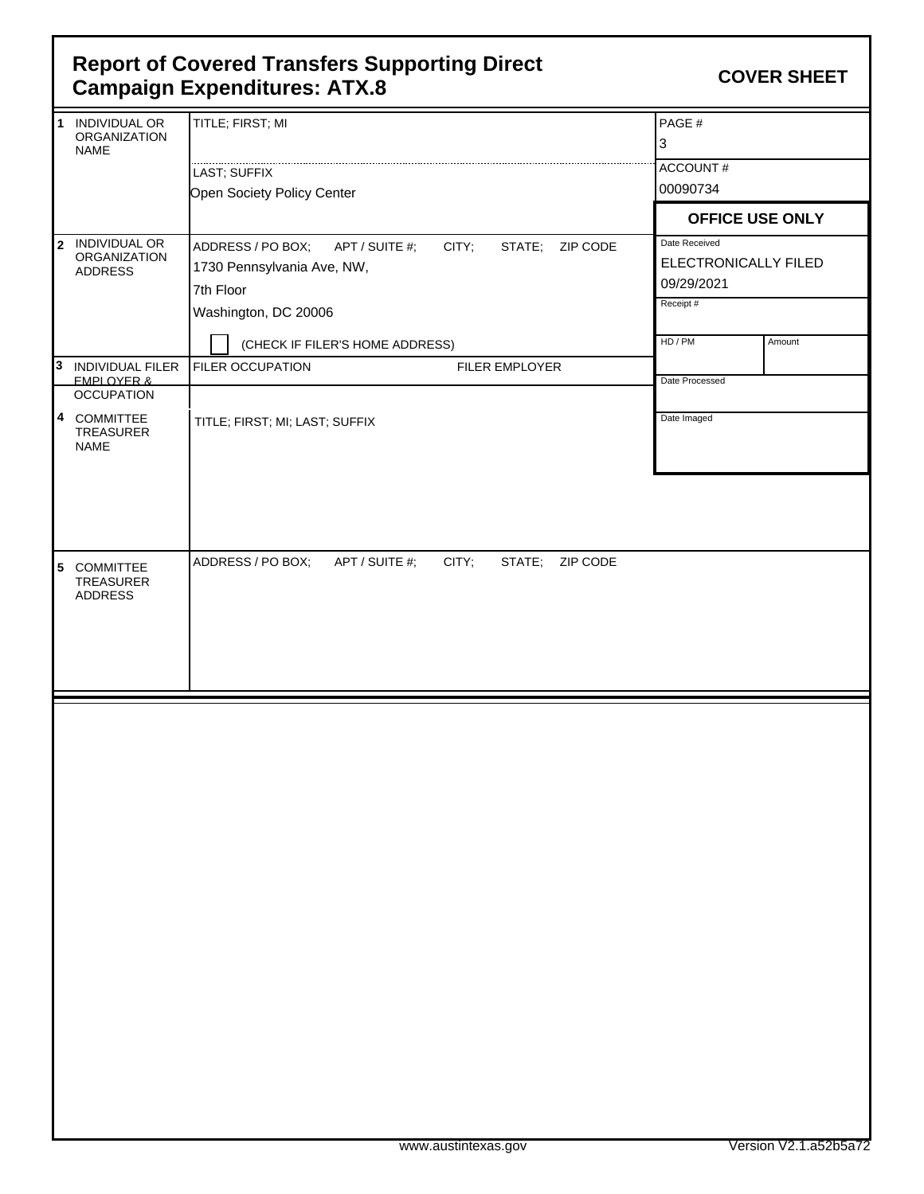## **COVER SHEET Report of Covered Transfers Supporting Direct Campaign Expenditures: ATX.8**

|    | 1 INDIVIDUAL OR<br><b>ORGANIZATION</b><br><b>NAME</b>    | TITLE; FIRST; MI                                                                                           | PAGE#<br>3                                          |                        |
|----|----------------------------------------------------------|------------------------------------------------------------------------------------------------------------|-----------------------------------------------------|------------------------|
|    |                                                          | LAST; SUFFIX                                                                                               | ACCOUNT#                                            |                        |
|    |                                                          | Open Society Policy Center                                                                                 | 00090734                                            |                        |
|    |                                                          |                                                                                                            |                                                     | <b>OFFICE USE ONLY</b> |
|    | 2 INDIVIDUAL OR<br><b>ORGANIZATION</b><br><b>ADDRESS</b> | ADDRESS / PO BOX;<br>APT / SUITE #;<br>CITY;<br>STATE; ZIP CODE<br>1730 Pennsylvania Ave, NW,<br>7th Floor | Date Received<br>ELECTRONICALLY FILED<br>09/29/2021 |                        |
|    |                                                          | Washington, DC 20006                                                                                       | Receipt#                                            |                        |
|    |                                                          | (CHECK IF FILER'S HOME ADDRESS)                                                                            | HD / PM                                             | Amount                 |
| Iз | INDIVIDUAL FILER<br><b>FMPI OYFR &amp;</b>               | FILER OCCUPATION<br>FILER EMPLOYER                                                                         | Date Processed                                      |                        |
|    | <b>OCCUPATION</b>                                        |                                                                                                            |                                                     |                        |
|    | 4 COMMITTEE<br>TREASURER<br><b>NAME</b>                  | TITLE; FIRST; MI; LAST; SUFFIX                                                                             | Date Imaged                                         |                        |
|    | 5 COMMITTEE<br>TREASURER<br><b>ADDRESS</b>               | ZIP CODE<br>ADDRESS / PO BOX;<br>APT / SUITE #;<br>CITY;<br>STATE;                                         |                                                     |                        |
|    |                                                          |                                                                                                            |                                                     |                        |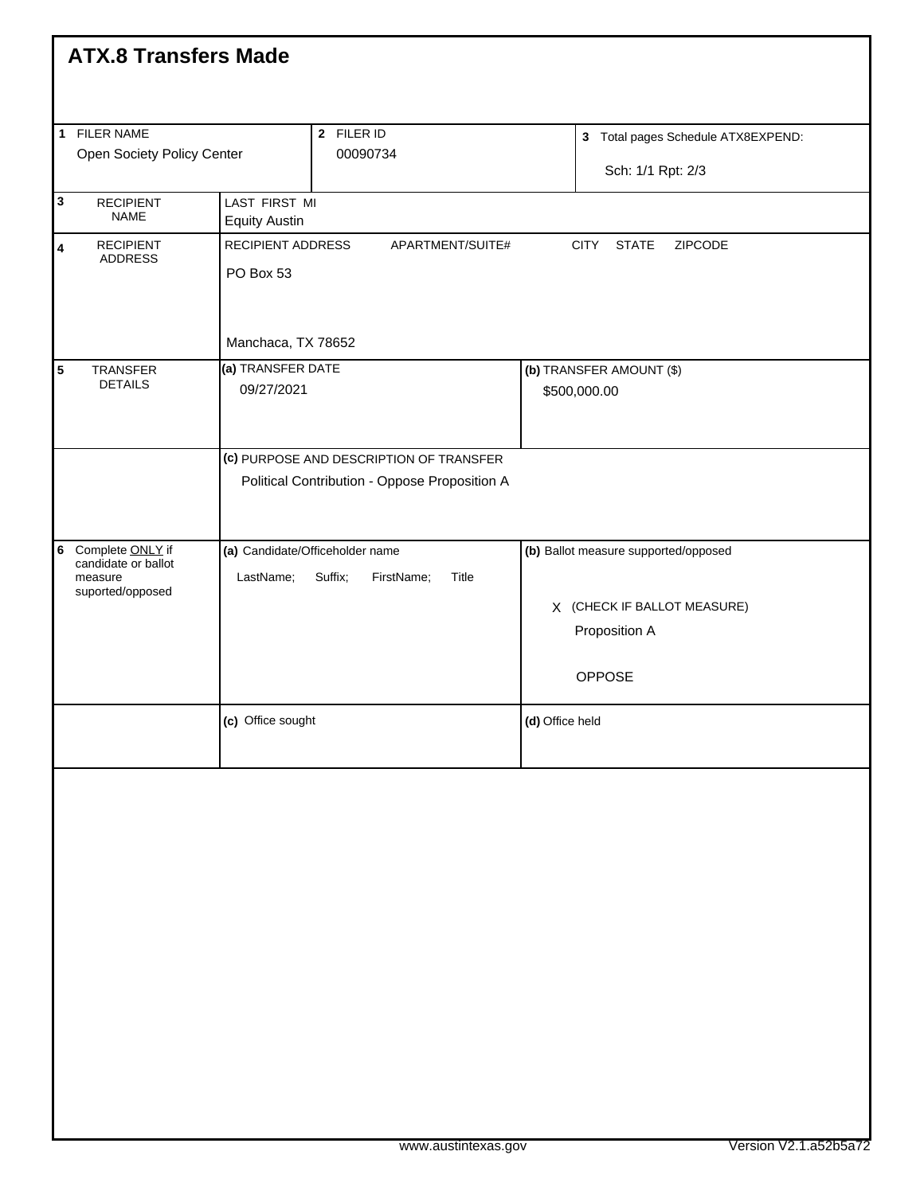|                                            | <b>ATX.8 Transfers Made</b>                                                              |                                                        |                                                                   |  |                                                         |                                                                                                |  |  |  |
|--------------------------------------------|------------------------------------------------------------------------------------------|--------------------------------------------------------|-------------------------------------------------------------------|--|---------------------------------------------------------|------------------------------------------------------------------------------------------------|--|--|--|
| 1 FILER NAME<br>Open Society Policy Center |                                                                                          | 2 FILER ID<br>00090734                                 |                                                                   |  | 3 Total pages Schedule ATX8EXPEND:<br>Sch: 1/1 Rpt: 2/3 |                                                                                                |  |  |  |
| $\mathbf 3$                                | <b>RECIPIENT</b><br><b>NAME</b>                                                          | LAST FIRST MI                                          |                                                                   |  |                                                         |                                                                                                |  |  |  |
| 4                                          | <b>RECIPIENT</b><br><b>ADDRESS</b>                                                       | <b>Equity Austin</b><br>RECIPIENT ADDRESS<br>PO Box 53 | <b>CITY</b><br><b>STATE</b><br>APARTMENT/SUITE#<br>ZIPCODE        |  |                                                         |                                                                                                |  |  |  |
|                                            |                                                                                          | Manchaca, TX 78652                                     |                                                                   |  |                                                         |                                                                                                |  |  |  |
| 5                                          | TRANSFER<br><b>DETAILS</b>                                                               |                                                        | (a) TRANSFER DATE<br>09/27/2021                                   |  | (b) TRANSFER AMOUNT (\$)<br>\$500,000.00                |                                                                                                |  |  |  |
|                                            | (c) PURPOSE AND DESCRIPTION OF TRANSFER<br>Political Contribution - Oppose Proposition A |                                                        |                                                                   |  |                                                         |                                                                                                |  |  |  |
|                                            | 6 Complete ONLY if<br>candidate or ballot<br>measure<br>suported/opposed                 | LastName;                                              | (a) Candidate/Officeholder name<br>Suffix;<br>FirstName;<br>Title |  |                                                         | (b) Ballot measure supported/opposed<br>X (CHECK IF BALLOT MEASURE)<br>Proposition A<br>OPPOSE |  |  |  |
|                                            |                                                                                          | (c) Office sought                                      |                                                                   |  | (d) Office held                                         |                                                                                                |  |  |  |
|                                            |                                                                                          |                                                        |                                                                   |  |                                                         |                                                                                                |  |  |  |